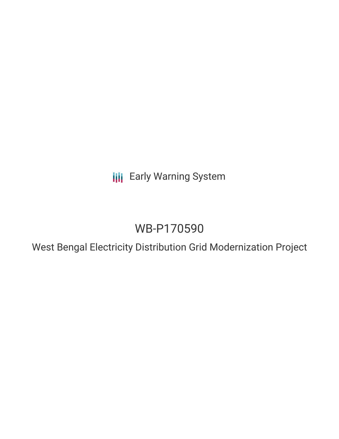**III** Early Warning System

# WB-P170590

West Bengal Electricity Distribution Grid Modernization Project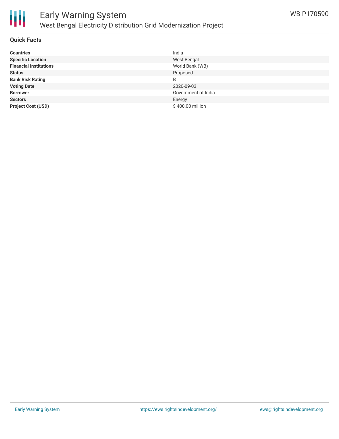

#### **Quick Facts**

| <b>Countries</b>              | India               |
|-------------------------------|---------------------|
| <b>Specific Location</b>      | West Bengal         |
| <b>Financial Institutions</b> | World Bank (WB)     |
| <b>Status</b>                 | Proposed            |
| <b>Bank Risk Rating</b>       | B                   |
| <b>Voting Date</b>            | 2020-09-03          |
| <b>Borrower</b>               | Government of India |
| <b>Sectors</b>                | Energy              |
| <b>Project Cost (USD)</b>     | \$400.00 million    |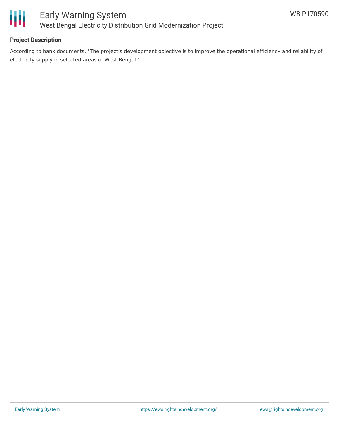

#### **Project Description**

According to bank documents, "The project's development objective is to improve the operational efficiency and reliability of electricity supply in selected areas of West Bengal."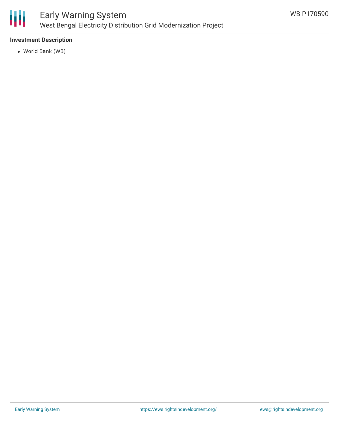

#### **Investment Description**

World Bank (WB)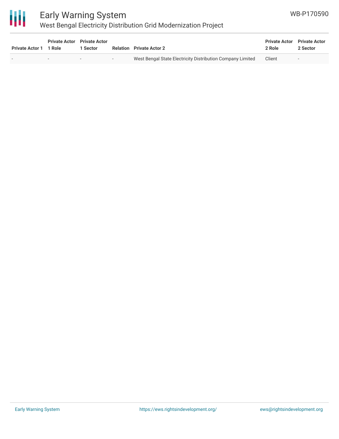

## Early Warning System West Bengal Electricity Distribution Grid Modernization Project

| <b>Private Actor 1</b> | <b>Private Actor</b> Private Actor<br>1 Role | Sector                   |     | <b>Relation</b> Private Actor 2                            | <b>Private Actor</b> Private Actor<br>2 Role | 2 Sector |
|------------------------|----------------------------------------------|--------------------------|-----|------------------------------------------------------------|----------------------------------------------|----------|
|                        | $\overline{\phantom{0}}$                     | $\overline{\phantom{0}}$ | $-$ | West Bengal State Electricity Distribution Company Limited | Client                                       | $\sim$   |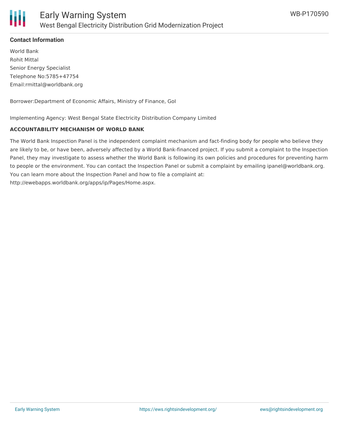

#### **Contact Information**

World Bank Rohit Mittal Senior Energy Specialist Telephone No:5785+47754 Email:rmittal@worldbank.org

Borrower:Department of Economic Affairs, Ministry of Finance, GoI

Implementing Agency: West Bengal State Electricity Distribution Company Limited

#### **ACCOUNTABILITY MECHANISM OF WORLD BANK**

The World Bank Inspection Panel is the independent complaint mechanism and fact-finding body for people who believe they are likely to be, or have been, adversely affected by a World Bank-financed project. If you submit a complaint to the Inspection Panel, they may investigate to assess whether the World Bank is following its own policies and procedures for preventing harm to people or the environment. You can contact the Inspection Panel or submit a complaint by emailing ipanel@worldbank.org. You can learn more about the Inspection Panel and how to file a complaint at: http://ewebapps.worldbank.org/apps/ip/Pages/Home.aspx.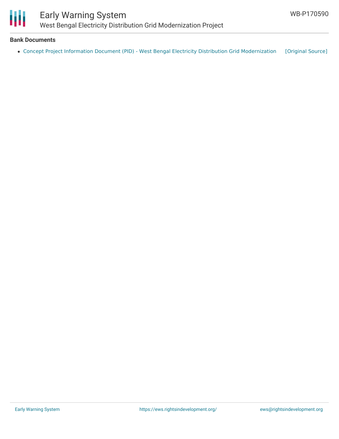

### Early Warning System West Bengal Electricity Distribution Grid Modernization Project

#### **Bank Documents**

• Concept Project Information Document (PID) - West Bengal Electricity Distribution Grid [Modernization](https://ewsdata.rightsindevelopment.org/files/documents/90/WB-P170590.pdf) [\[Original](http://documents.worldbank.org/curated/en/804731564699264584/pdf/Concept-Project-Information-Document-PID-West-Bengal-Electricity-Distribution-Grid-Modernization-Project-P170590.pdf) Source]